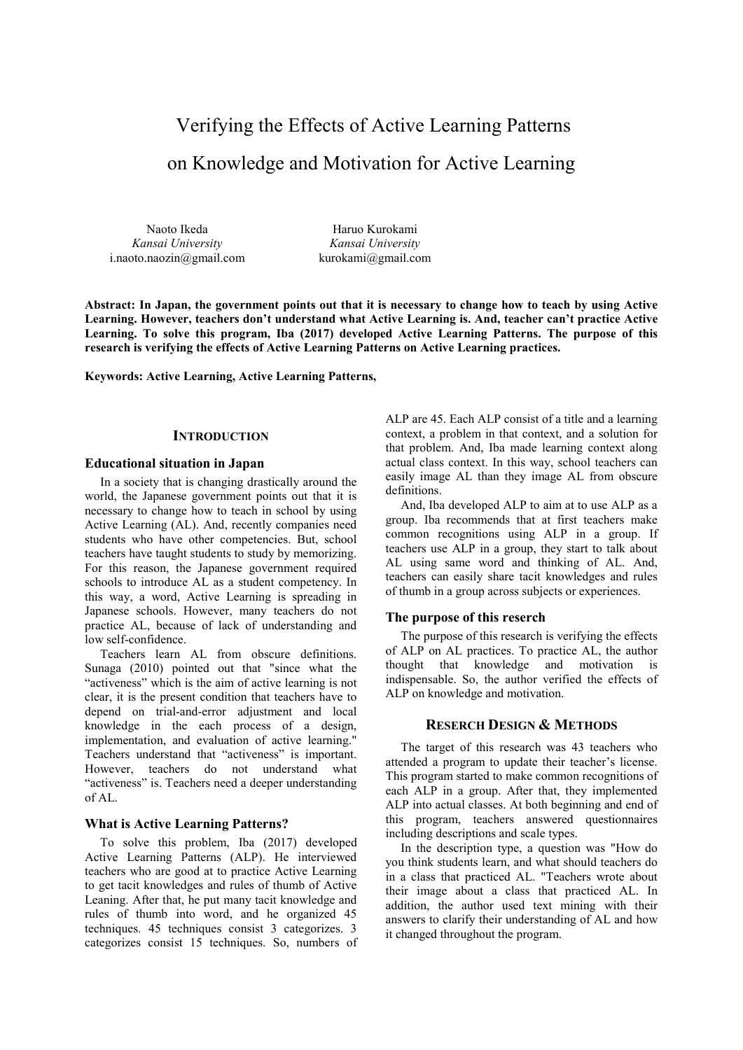# Verifying the Effects of Active Learning Patterns on Knowledge and Motivation for Active Learning

Naoto Ikeda *Kansai University* i.naoto.naozin@gmail.com

Haruo Kurokami *Kansai University* kurokami@gmail.com

**Abstract: In Japan, the government points out that it is necessary to change how to teach by using Active Learning. However, teachers don't understand what Active Learning is. And, teacher can't practice Active Learning. To solve this program, Iba (2017) developed Active Learning Patterns. The purpose of this research is verifying the effects of Active Learning Patterns on Active Learning practices.** 

**Keywords: Active Learning, Active Learning Patterns,** 

## **INTRODUCTION**

## **Educational situation in Japan**

In a society that is changing drastically around the world, the Japanese government points out that it is necessary to change how to teach in school by using Active Learning (AL). And, recently companies need students who have other competencies. But, school teachers have taught students to study by memorizing. For this reason, the Japanese government required schools to introduce AL as a student competency. In this way, a word, Active Learning is spreading in Japanese schools. However, many teachers do not practice AL, because of lack of understanding and low self-confidence.

Teachers learn AL from obscure definitions. Sunaga (2010) pointed out that "since what the "activeness" which is the aim of active learning is not clear, it is the present condition that teachers have to depend on trial-and-error adjustment and local knowledge in the each process of a design, implementation, and evaluation of active learning." Teachers understand that "activeness" is important. However, teachers do not understand what "activeness" is. Teachers need a deeper understanding of AL.

## **What is Active Learning Patterns?**

To solve this problem, Iba (2017) developed Active Learning Patterns (ALP). He interviewed teachers who are good at to practice Active Learning to get tacit knowledges and rules of thumb of Active Leaning. After that, he put many tacit knowledge and rules of thumb into word, and he organized 45 techniques. 45 techniques consist 3 categorizes. 3 categorizes consist 15 techniques. So, numbers of

ALP are 45. Each ALP consist of a title and a learning context, a problem in that context, and a solution for that problem. And, Iba made learning context along actual class context. In this way, school teachers can easily image AL than they image AL from obscure definitions.

And, Iba developed ALP to aim at to use ALP as a group. Iba recommends that at first teachers make common recognitions using ALP in a group. If teachers use ALP in a group, they start to talk about AL using same word and thinking of AL. And, teachers can easily share tacit knowledges and rules of thumb in a group across subjects or experiences.

#### **The purpose of this reserch**

The purpose of this research is verifying the effects of ALP on AL practices. To practice AL, the author thought that knowledge and motivation is indispensable. So, the author verified the effects of ALP on knowledge and motivation.

# **RESERCH DESIGN & METHODS**

The target of this research was 43 teachers who attended a program to update their teacher's license. This program started to make common recognitions of each ALP in a group. After that, they implemented ALP into actual classes. At both beginning and end of this program, teachers answered questionnaires including descriptions and scale types.

In the description type, a question was "How do you think students learn, and what should teachers do in a class that practiced AL. "Teachers wrote about their image about a class that practiced AL. In addition, the author used text mining with their answers to clarify their understanding of AL and how it changed throughout the program.